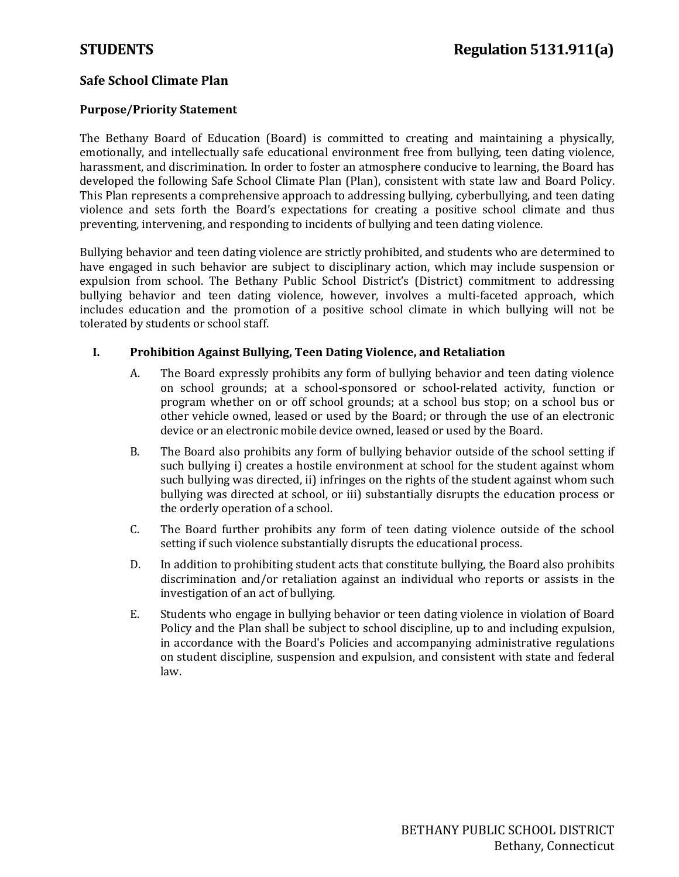### **Safe School Climate Plan**

### **Purpose/Priority Statement**

The Bethany Board of Education (Board) is committed to creating and maintaining a physically, emotionally, and intellectually safe educational environment free from bullying, teen dating violence, harassment, and discrimination. In order to foster an atmosphere conducive to learning, the Board has developed the following Safe School Climate Plan (Plan), consistent with state law and Board Policy. This Plan represents a comprehensive approach to addressing bullying, cyberbullying, and teen dating violence and sets forth the Board's expectations for creating a positive school climate and thus preventing, intervening, and responding to incidents of bullying and teen dating violence.

Bullying behavior and teen dating violence are strictly prohibited, and students who are determined to have engaged in such behavior are subject to disciplinary action, which may include suspension or expulsion from school. The Bethany Public School District's (District) commitment to addressing bullying behavior and teen dating violence, however, involves a multi-faceted approach, which includes education and the promotion of a positive school climate in which bullying will not be tolerated by students or school staff.

### **I. Prohibition Against Bullying, Teen Dating Violence, and Retaliation**

- A. The Board expressly prohibits any form of bullying behavior and teen dating violence on school grounds; at a school-sponsored or school-related activity, function or program whether on or off school grounds; at a school bus stop; on a school bus or other vehicle owned, leased or used by the Board; or through the use of an electronic device or an electronic mobile device owned, leased or used by the Board.
- B. The Board also prohibits any form of bullying behavior outside of the school setting if such bullying i) creates a hostile environment at school for the student against whom such bullying was directed, ii) infringes on the rights of the student against whom such bullying was directed at school, or iii) substantially disrupts the education process or the orderly operation of a school.
- C. The Board further prohibits any form of teen dating violence outside of the school setting if such violence substantially disrupts the educational process.
- D. In addition to prohibiting student acts that constitute bullying, the Board also prohibits discrimination and/or retaliation against an individual who reports or assists in the investigation of an act of bullying.
- E. Students who engage in bullying behavior or teen dating violence in violation of Board Policy and the Plan shall be subject to school discipline, up to and including expulsion, in accordance with the Board's Policies and accompanying administrative regulations on student discipline, suspension and expulsion, and consistent with state and federal law.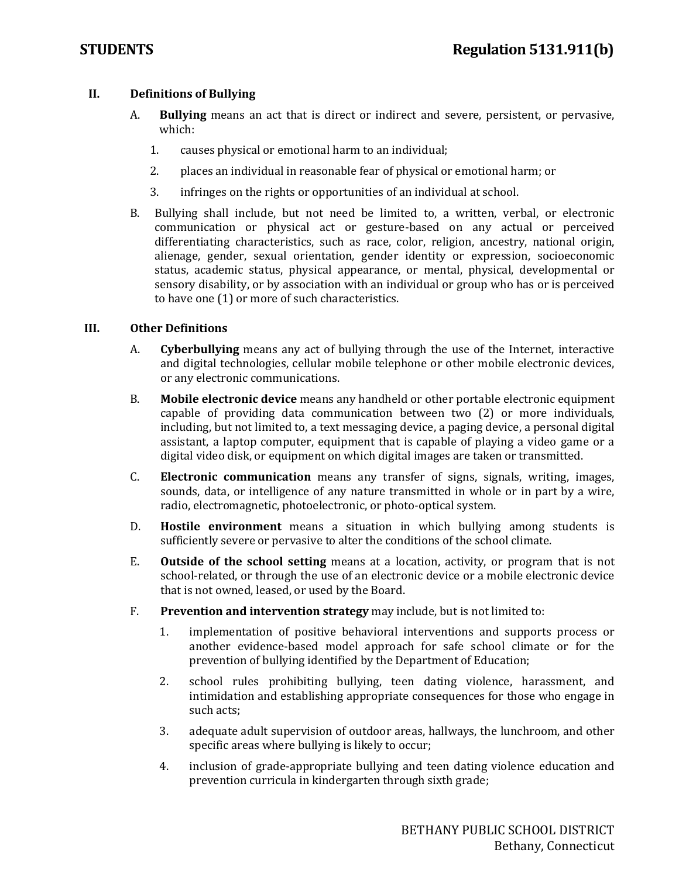### **II. Definitions of Bullying**

- A. **Bullying** means an act that is direct or indirect and severe, persistent, or pervasive, which:
	- 1. causes physical or emotional harm to an individual;
	- 2. places an individual in reasonable fear of physical or emotional harm; or
	- 3. infringes on the rights or opportunities of an individual at school.
- B. Bullying shall include, but not need be limited to, a written, verbal, or electronic communication or physical act or gesture-based on any actual or perceived differentiating characteristics, such as race, color, religion, ancestry, national origin, alienage, gender, sexual orientation, gender identity or expression, socioeconomic status, academic status, physical appearance, or mental, physical, developmental or sensory disability, or by association with an individual or group who has or is perceived to have one (1) or more of such characteristics.

### **III. Other Definitions**

- A. **Cyberbullying** means any act of bullying through the use of the Internet, interactive and digital technologies, cellular mobile telephone or other mobile electronic devices, or any electronic communications.
- B. **Mobile electronic device** means any handheld or other portable electronic equipment capable of providing data communication between two (2) or more individuals, including, but not limited to, a text messaging device, a paging device, a personal digital assistant, a laptop computer, equipment that is capable of playing a video game or a digital video disk, or equipment on which digital images are taken or transmitted.
- C. **Electronic communication** means any transfer of signs, signals, writing, images, sounds, data, or intelligence of any nature transmitted in whole or in part by a wire, radio, electromagnetic, photoelectronic, or photo-optical system.
- D. **Hostile environment** means a situation in which bullying among students is sufficiently severe or pervasive to alter the conditions of the school climate.
- E. **Outside of the school setting** means at a location, activity, or program that is not school-related, or through the use of an electronic device or a mobile electronic device that is not owned, leased, or used by the Board.
- F. **Prevention and intervention strategy** may include, but is not limited to:
	- 1. implementation of positive behavioral interventions and supports process or another evidence-based model approach for safe school climate or for the prevention of bullying identified by the Department of Education;
	- 2. school rules prohibiting bullying, teen dating violence, harassment, and intimidation and establishing appropriate consequences for those who engage in such acts;
	- 3. adequate adult supervision of outdoor areas, hallways, the lunchroom, and other specific areas where bullying is likely to occur;
	- 4. inclusion of grade-appropriate bullying and teen dating violence education and prevention curricula in kindergarten through sixth grade;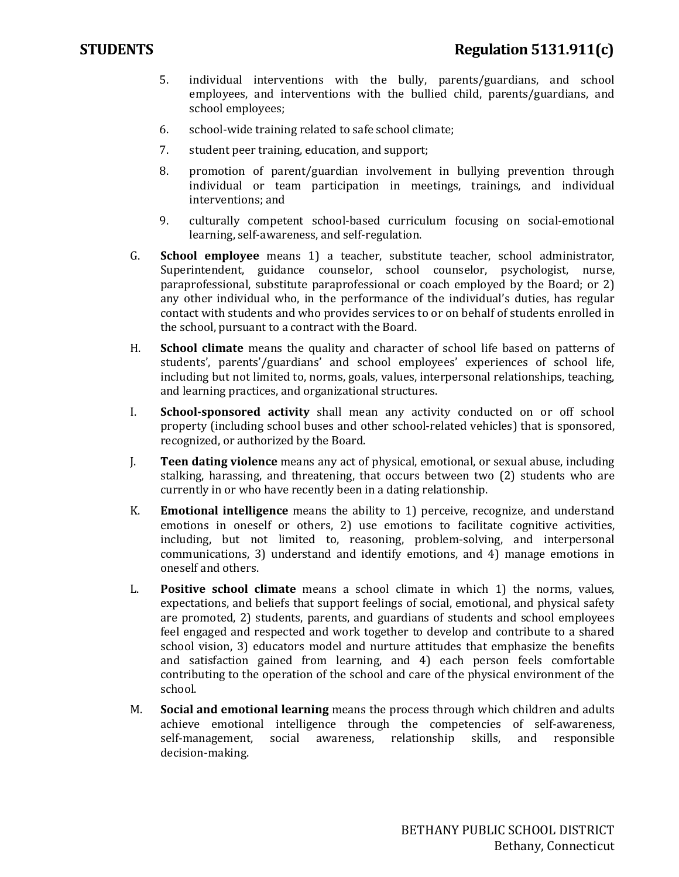- 5. individual interventions with the bully, parents/guardians, and school employees, and interventions with the bullied child, parents/guardians, and school employees;
- 6. school-wide training related to safe school climate;
- 7. student peer training, education, and support;
- 8. promotion of parent/guardian involvement in bullying prevention through individual or team participation in meetings, trainings, and individual interventions; and
- 9. culturally competent school-based curriculum focusing on social-emotional learning, self-awareness, and self-regulation.
- G. **School employee** means 1) a teacher, substitute teacher, school administrator, Superintendent, guidance counselor, school counselor, psychologist, nurse, paraprofessional, substitute paraprofessional or coach employed by the Board; or 2) any other individual who, in the performance of the individual's duties, has regular contact with students and who provides services to or on behalf of students enrolled in the school, pursuant to a contract with the Board.
- H. **School climate** means the quality and character of school life based on patterns of students', parents'/guardians' and school employees' experiences of school life, including but not limited to, norms, goals, values, interpersonal relationships, teaching, and learning practices, and organizational structures.
- I. **School-sponsored activity** shall mean any activity conducted on or off school property (including school buses and other school-related vehicles) that is sponsored, recognized, or authorized by the Board.
- J. **Teen dating violence** means any act of physical, emotional, or sexual abuse, including stalking, harassing, and threatening, that occurs between two (2) students who are currently in or who have recently been in a dating relationship.
- K. **Emotional intelligence** means the ability to 1) perceive, recognize, and understand emotions in oneself or others, 2) use emotions to facilitate cognitive activities, including, but not limited to, reasoning, problem-solving, and interpersonal communications, 3) understand and identify emotions, and 4) manage emotions in oneself and others.
- L. **Positive school climate** means a school climate in which 1) the norms, values, expectations, and beliefs that support feelings of social, emotional, and physical safety are promoted, 2) students, parents, and guardians of students and school employees feel engaged and respected and work together to develop and contribute to a shared school vision, 3) educators model and nurture attitudes that emphasize the benefits and satisfaction gained from learning, and 4) each person feels comfortable contributing to the operation of the school and care of the physical environment of the school.
- M. **Social and emotional learning** means the process through which children and adults achieve emotional intelligence through the competencies of self-awareness, self-management, social awareness, relationship skills, and responsible self-management, social awareness, relationship decision-making.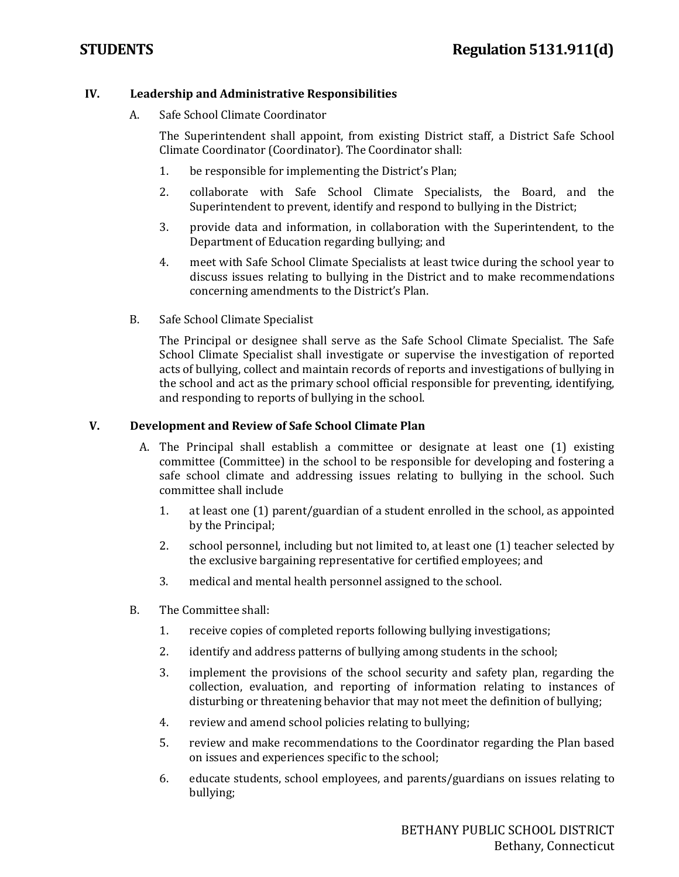### **IV. Leadership and Administrative Responsibilities**

A. Safe School Climate Coordinator

The Superintendent shall appoint, from existing District staff, a District Safe School Climate Coordinator (Coordinator). The Coordinator shall:

- 1. be responsible for implementing the District's Plan;
- 2. collaborate with Safe School Climate Specialists, the Board, and the Superintendent to prevent, identify and respond to bullying in the District;
- 3. provide data and information, in collaboration with the Superintendent, to the Department of Education regarding bullying; and
- 4. meet with Safe School Climate Specialists at least twice during the school year to discuss issues relating to bullying in the District and to make recommendations concerning amendments to the District's Plan.
- B. Safe School Climate Specialist

The Principal or designee shall serve as the Safe School Climate Specialist. The Safe School Climate Specialist shall investigate or supervise the investigation of reported acts of bullying, collect and maintain records of reports and investigations of bullying in the school and act as the primary school official responsible for preventing, identifying, and responding to reports of bullying in the school.

### **V. Development and Review of Safe School Climate Plan**

- A. The Principal shall establish a committee or designate at least one (1) existing committee (Committee) in the school to be responsible for developing and fostering a safe school climate and addressing issues relating to bullying in the school. Such committee shall include
	- 1. at least one (1) parent/guardian of a student enrolled in the school, as appointed by the Principal;
	- 2. school personnel, including but not limited to, at least one (1) teacher selected by the exclusive bargaining representative for certified employees; and
	- 3. medical and mental health personnel assigned to the school.
- B. The Committee shall:
	- 1. receive copies of completed reports following bullying investigations;
	- 2. identify and address patterns of bullying among students in the school;
	- 3. implement the provisions of the school security and safety plan, regarding the collection, evaluation, and reporting of information relating to instances of disturbing or threatening behavior that may not meet the definition of bullying;
	- 4. review and amend school policies relating to bullying;
	- 5. review and make recommendations to the Coordinator regarding the Plan based on issues and experiences specific to the school;
	- 6. educate students, school employees, and parents/guardians on issues relating to bullying;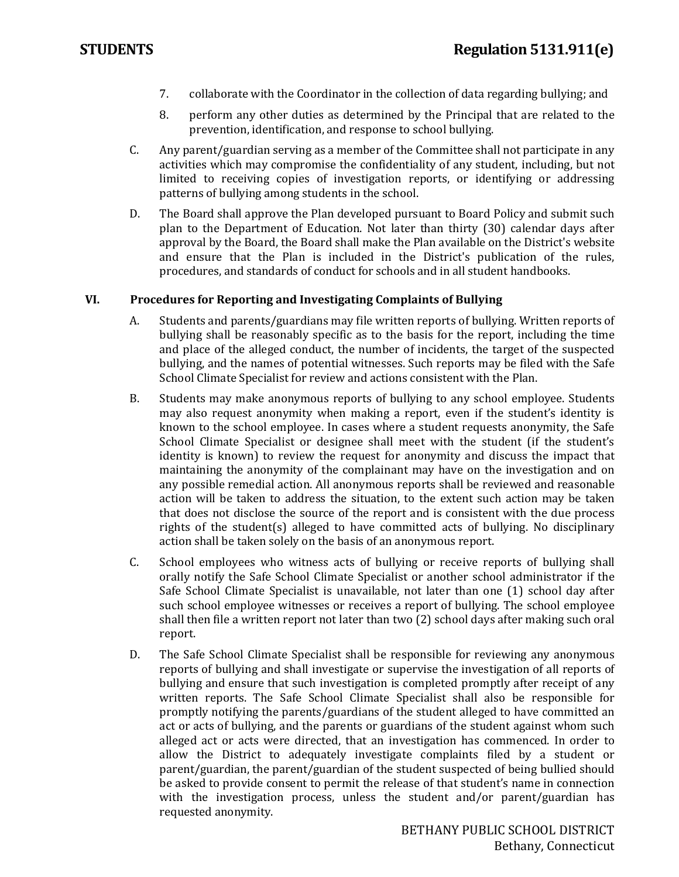- 7. collaborate with the Coordinator in the collection of data regarding bullying; and
- 8. perform any other duties as determined by the Principal that are related to the prevention, identification, and response to school bullying.
- C. Any parent/guardian serving as a member of the Committee shall not participate in any activities which may compromise the confidentiality of any student, including, but not limited to receiving copies of investigation reports, or identifying or addressing patterns of bullying among students in the school.
- D. The Board shall approve the Plan developed pursuant to Board Policy and submit such plan to the Department of Education. Not later than thirty (30) calendar days after approval by the Board, the Board shall make the Plan available on the District's website and ensure that the Plan is included in the District's publication of the rules, procedures, and standards of conduct for schools and in all student handbooks.

### **VI. Procedures for Reporting and Investigating Complaints of Bullying**

- A. Students and parents/guardians may file written reports of bullying. Written reports of bullying shall be reasonably specific as to the basis for the report, including the time and place of the alleged conduct, the number of incidents, the target of the suspected bullying, and the names of potential witnesses. Such reports may be filed with the Safe School Climate Specialist for review and actions consistent with the Plan.
- B. Students may make anonymous reports of bullying to any school employee. Students may also request anonymity when making a report, even if the student's identity is known to the school employee. In cases where a student requests anonymity, the Safe School Climate Specialist or designee shall meet with the student (if the student's identity is known) to review the request for anonymity and discuss the impact that maintaining the anonymity of the complainant may have on the investigation and on any possible remedial action. All anonymous reports shall be reviewed and reasonable action will be taken to address the situation, to the extent such action may be taken that does not disclose the source of the report and is consistent with the due process rights of the student(s) alleged to have committed acts of bullying. No disciplinary action shall be taken solely on the basis of an anonymous report.
- C. School employees who witness acts of bullying or receive reports of bullying shall orally notify the Safe School Climate Specialist or another school administrator if the Safe School Climate Specialist is unavailable, not later than one (1) school day after such school employee witnesses or receives a report of bullying. The school employee shall then file a written report not later than two (2) school days after making such oral report.
- D. The Safe School Climate Specialist shall be responsible for reviewing any anonymous reports of bullying and shall investigate or supervise the investigation of all reports of bullying and ensure that such investigation is completed promptly after receipt of any written reports. The Safe School Climate Specialist shall also be responsible for promptly notifying the parents/guardians of the student alleged to have committed an act or acts of bullying, and the parents or guardians of the student against whom such alleged act or acts were directed, that an investigation has commenced. In order to allow the District to adequately investigate complaints filed by a student or parent/guardian, the parent/guardian of the student suspected of being bullied should be asked to provide consent to permit the release of that student's name in connection with the investigation process, unless the student and/or parent/guardian has requested anonymity.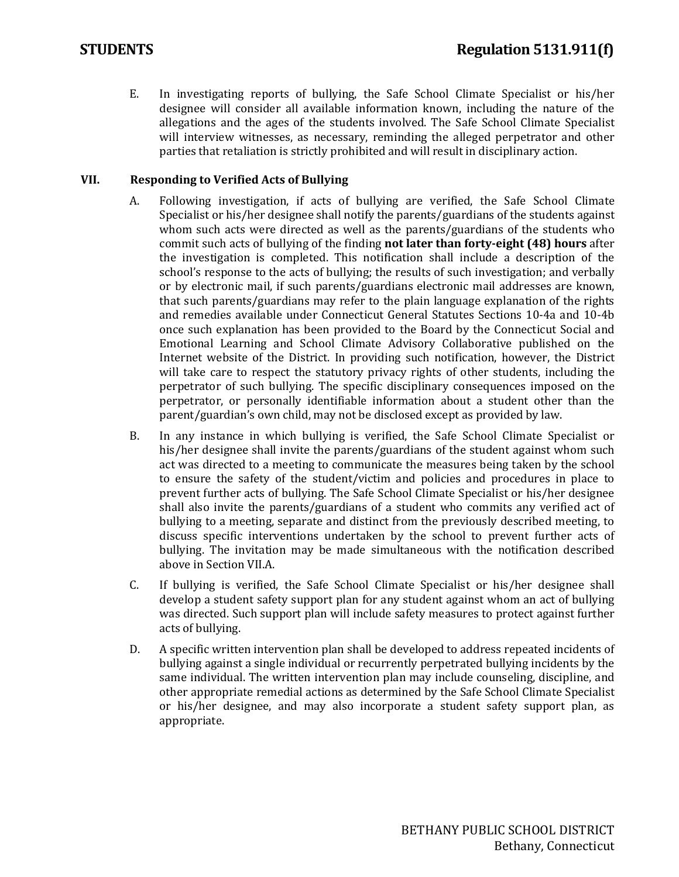E. In investigating reports of bullying, the Safe School Climate Specialist or his/her designee will consider all available information known, including the nature of the allegations and the ages of the students involved. The Safe School Climate Specialist will interview witnesses, as necessary, reminding the alleged perpetrator and other parties that retaliation is strictly prohibited and will result in disciplinary action.

### **VII. Responding to Verified Acts of Bullying**

- A. Following investigation, if acts of bullying are verified, the Safe School Climate Specialist or his/her designee shall notify the parents/guardians of the students against whom such acts were directed as well as the parents/guardians of the students who commit such acts of bullying of the finding **not later than forty-eight (48) hours** after the investigation is completed. This notification shall include a description of the school's response to the acts of bullying; the results of such investigation; and verbally or by electronic mail, if such parents/guardians electronic mail addresses are known, that such parents/guardians may refer to the plain language explanation of the rights and remedies available under Connecticut General Statutes Sections 10-4a and 10-4b once such explanation has been provided to the Board by the Connecticut Social and Emotional Learning and School Climate Advisory Collaborative published on the Internet website of the District. In providing such notification, however, the District will take care to respect the statutory privacy rights of other students, including the perpetrator of such bullying. The specific disciplinary consequences imposed on the perpetrator, or personally identifiable information about a student other than the parent/guardian's own child, may not be disclosed except as provided by law.
- B. In any instance in which bullying is verified, the Safe School Climate Specialist or his/her designee shall invite the parents/guardians of the student against whom such act was directed to a meeting to communicate the measures being taken by the school to ensure the safety of the student/victim and policies and procedures in place to prevent further acts of bullying. The Safe School Climate Specialist or his/her designee shall also invite the parents/guardians of a student who commits any verified act of bullying to a meeting, separate and distinct from the previously described meeting, to discuss specific interventions undertaken by the school to prevent further acts of bullying. The invitation may be made simultaneous with the notification described above in Section VII.A.
- C. If bullying is verified, the Safe School Climate Specialist or his/her designee shall develop a student safety support plan for any student against whom an act of bullying was directed. Such support plan will include safety measures to protect against further acts of bullying.
- D. A specific written intervention plan shall be developed to address repeated incidents of bullying against a single individual or recurrently perpetrated bullying incidents by the same individual. The written intervention plan may include counseling, discipline, and other appropriate remedial actions as determined by the Safe School Climate Specialist or his/her designee, and may also incorporate a student safety support plan, as appropriate.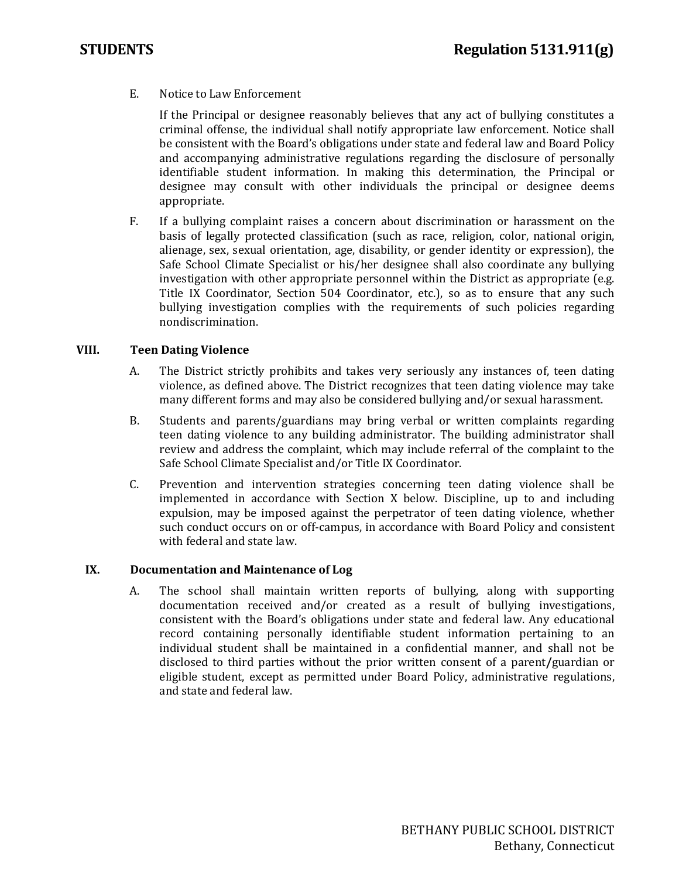E. Notice to Law Enforcement

If the Principal or designee reasonably believes that any act of bullying constitutes a criminal offense, the individual shall notify appropriate law enforcement. Notice shall be consistent with the Board's obligations under state and federal law and Board Policy and accompanying administrative regulations regarding the disclosure of personally identifiable student information. In making this determination, the Principal or designee may consult with other individuals the principal or designee deems appropriate.

F. If a bullying complaint raises a concern about discrimination or harassment on the basis of legally protected classification (such as race, religion, color, national origin, alienage, sex, sexual orientation, age, disability, or gender identity or expression), the Safe School Climate Specialist or his/her designee shall also coordinate any bullying investigation with other appropriate personnel within the District as appropriate (e.g. Title IX Coordinator, Section 504 Coordinator, etc.), so as to ensure that any such bullying investigation complies with the requirements of such policies regarding nondiscrimination.

### **VIII. Teen Dating Violence**

- A. The District strictly prohibits and takes very seriously any instances of, teen dating violence, as defined above. The District recognizes that teen dating violence may take many different forms and may also be considered bullying and/or sexual harassment.
- B. Students and parents/guardians may bring verbal or written complaints regarding teen dating violence to any building administrator. The building administrator shall review and address the complaint, which may include referral of the complaint to the Safe School Climate Specialist and/or Title IX Coordinator.
- C. Prevention and intervention strategies concerning teen dating violence shall be implemented in accordance with Section X below. Discipline, up to and including expulsion, may be imposed against the perpetrator of teen dating violence, whether such conduct occurs on or off-campus, in accordance with Board Policy and consistent with federal and state law.

### **IX. Documentation and Maintenance of Log**

A. The school shall maintain written reports of bullying, along with supporting documentation received and/or created as a result of bullying investigations, consistent with the Board's obligations under state and federal law. Any educational record containing personally identifiable student information pertaining to an individual student shall be maintained in a confidential manner, and shall not be disclosed to third parties without the prior written consent of a parent**/**guardian or eligible student, except as permitted under Board Policy, administrative regulations, and state and federal law.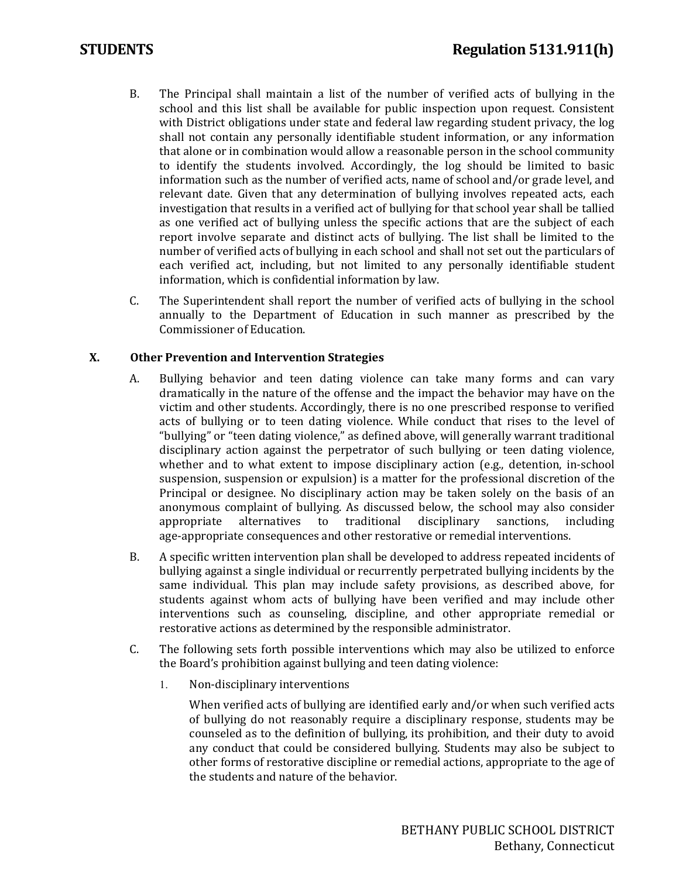- B. The Principal shall maintain a list of the number of verified acts of bullying in the school and this list shall be available for public inspection upon request. Consistent with District obligations under state and federal law regarding student privacy, the log shall not contain any personally identifiable student information, or any information that alone or in combination would allow a reasonable person in the school community to identify the students involved. Accordingly, the log should be limited to basic information such as the number of verified acts, name of school and/or grade level, and relevant date. Given that any determination of bullying involves repeated acts, each investigation that results in a verified act of bullying for that school year shall be tallied as one verified act of bullying unless the specific actions that are the subject of each report involve separate and distinct acts of bullying. The list shall be limited to the number of verified acts of bullying in each school and shall not set out the particulars of each verified act, including, but not limited to any personally identifiable student information, which is confidential information by law.
- C. The Superintendent shall report the number of verified acts of bullying in the school annually to the Department of Education in such manner as prescribed by the Commissioner of Education.

### **X. Other Prevention and Intervention Strategies**

- A. Bullying behavior and teen dating violence can take many forms and can vary dramatically in the nature of the offense and the impact the behavior may have on the victim and other students. Accordingly, there is no one prescribed response to verified acts of bullying or to teen dating violence. While conduct that rises to the level of "bullying" or "teen dating violence," as defined above, will generally warrant traditional disciplinary action against the perpetrator of such bullying or teen dating violence, whether and to what extent to impose disciplinary action (e.g., detention, in-school suspension, suspension or expulsion) is a matter for the professional discretion of the Principal or designee. No disciplinary action may be taken solely on the basis of an anonymous complaint of bullying. As discussed below, the school may also consider appropriate alternatives to traditional disciplinary sanctions, including appropriate alternatives to traditional disciplinary sanctions, including age-appropriate consequences and other restorative or remedial interventions.
- B. A specific written intervention plan shall be developed to address repeated incidents of bullying against a single individual or recurrently perpetrated bullying incidents by the same individual. This plan may include safety provisions, as described above, for students against whom acts of bullying have been verified and may include other interventions such as counseling, discipline, and other appropriate remedial or restorative actions as determined by the responsible administrator.
- C. The following sets forth possible interventions which may also be utilized to enforce the Board's prohibition against bullying and teen dating violence:
	- 1. Non-disciplinary interventions

When verified acts of bullying are identified early and/or when such verified acts of bullying do not reasonably require a disciplinary response, students may be counseled as to the definition of bullying, its prohibition, and their duty to avoid any conduct that could be considered bullying. Students may also be subject to other forms of restorative discipline or remedial actions, appropriate to the age of the students and nature of the behavior.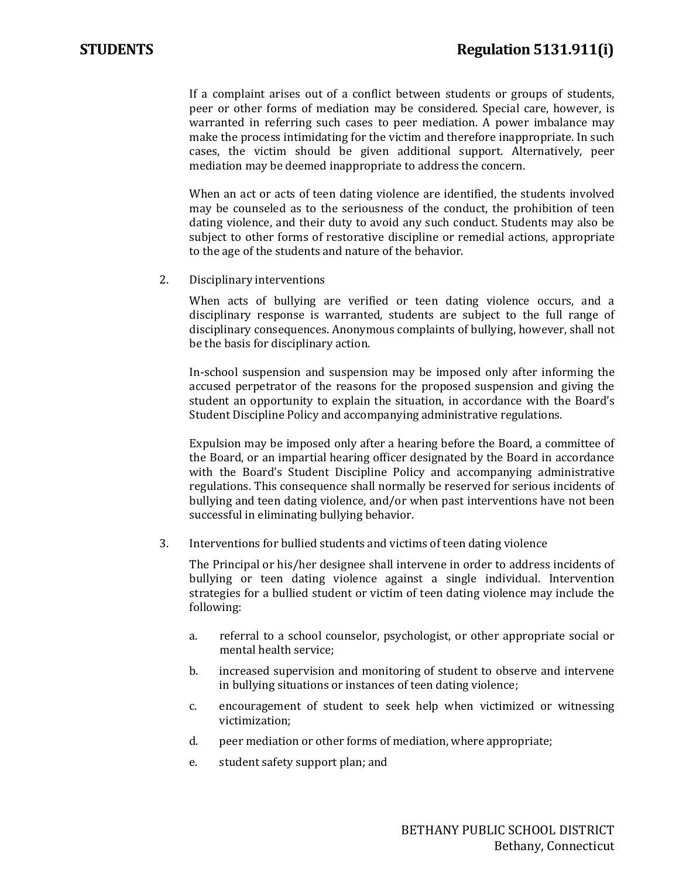If a complaint arises out of a conflict between students or groups of students, peer or other forms of mediation may be considered. Special care, however, is warranted in referring such cases to peer mediation. A power imbalance may make the process intimidating for the victim and therefore inappropriate. In such cases, the victim should be given additional support. Alternatively, peer mediation may be deemed inappropriate to address the concern.

When an act or acts of teen dating violence are identified, the students involved may be counseled as to the seriousness of the conduct, the prohibition of teen dating violence, and their duty to avoid any such conduct. Students may also be subject to other forms of restorative discipline or remedial actions, appropriate to the age of the students and nature of the behavior.

2. Disciplinary interventions

When acts of bullying are verified or teen dating violence occurs, and a disciplinary response is warranted, students are subject to the full range of disciplinary consequences. Anonymous complaints of bullying, however, shall not be the basis for disciplinary action.

In-school suspension and suspension may be imposed only after informing the accused perpetrator of the reasons for the proposed suspension and giving the student an opportunity to explain the situation, in accordance with the Board's Student Discipline Policy and accompanying administrative regulations.

Expulsion may be imposed only after a hearing before the Board, a committee of the Board, or an impartial hearing officer designated by the Board in accordance with the Board's Student Discipline Policy and accompanying administrative regulations. This consequence shall normally be reserved for serious incidents of bullying and teen dating violence, and/or when past interventions have not been successful in eliminating bullying behavior.

3. Interventions for bullied students and victims of teen dating violence

The Principal or his/her designee shall intervene in order to address incidents of bullying or teen dating violence against a single individual. Intervention strategies for a bullied student or victim of teen dating violence may include the following:

- a. referral to a school counselor, psychologist, or other appropriate social or mental health service;
- b. increased supervision and monitoring of student to observe and intervene in bullying situations or instances of teen dating violence;
- c. encouragement of student to seek help when victimized or witnessing victimization;
- d. peer mediation or other forms of mediation, where appropriate;
- e. student safety support plan; and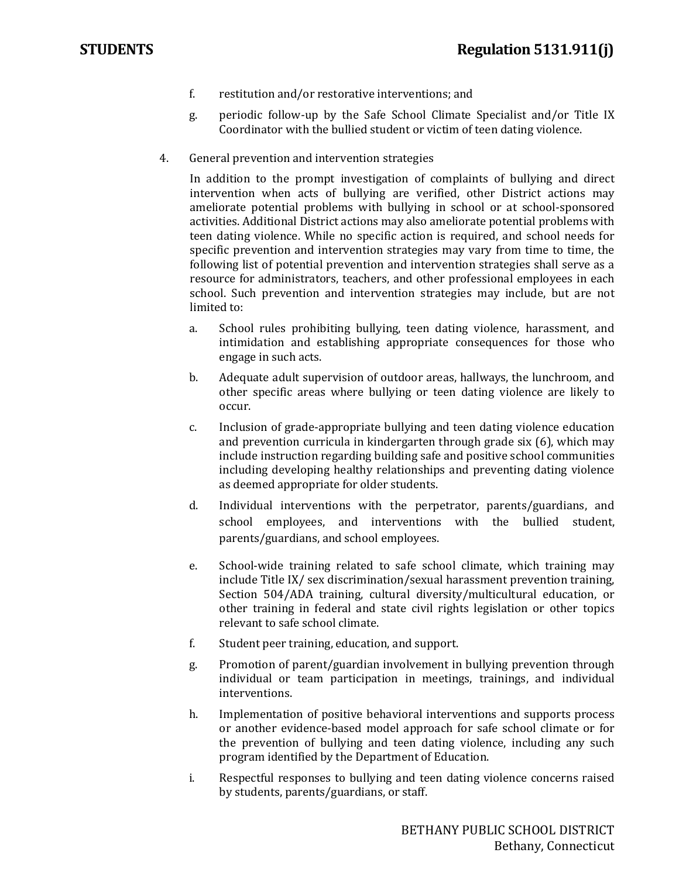- f. restitution and/or restorative interventions; and
- g. periodic follow-up by the Safe School Climate Specialist and/or Title IX Coordinator with the bullied student or victim of teen dating violence.
- 4. General prevention and intervention strategies

In addition to the prompt investigation of complaints of bullying and direct intervention when acts of bullying are verified, other District actions may ameliorate potential problems with bullying in school or at school-sponsored activities. Additional District actions may also ameliorate potential problems with teen dating violence. While no specific action is required, and school needs for specific prevention and intervention strategies may vary from time to time, the following list of potential prevention and intervention strategies shall serve as a resource for administrators, teachers, and other professional employees in each school. Such prevention and intervention strategies may include, but are not limited to:

- a. School rules prohibiting bullying, teen dating violence, harassment, and intimidation and establishing appropriate consequences for those who engage in such acts.
- b. Adequate adult supervision of outdoor areas, hallways, the lunchroom, and other specific areas where bullying or teen dating violence are likely to occur.
- c. Inclusion of grade-appropriate bullying and teen dating violence education and prevention curricula in kindergarten through grade six (6), which may include instruction regarding building safe and positive school communities including developing healthy relationships and preventing dating violence as deemed appropriate for older students.
- d. Individual interventions with the perpetrator, parents/guardians, and school employees, and interventions with the bullied student, parents/guardians, and school employees.
- e. School-wide training related to safe school climate, which training may include Title IX/ sex discrimination/sexual harassment prevention training, Section 504/ADA training, cultural diversity/multicultural education, or other training in federal and state civil rights legislation or other topics relevant to safe school climate.
- f. Student peer training, education, and support.
- g. Promotion of parent/guardian involvement in bullying prevention through individual or team participation in meetings, trainings, and individual interventions.
- h. Implementation of positive behavioral interventions and supports process or another evidence-based model approach for safe school climate or for the prevention of bullying and teen dating violence, including any such program identified by the Department of Education.
- i. Respectful responses to bullying and teen dating violence concerns raised by students, parents/guardians, or staff.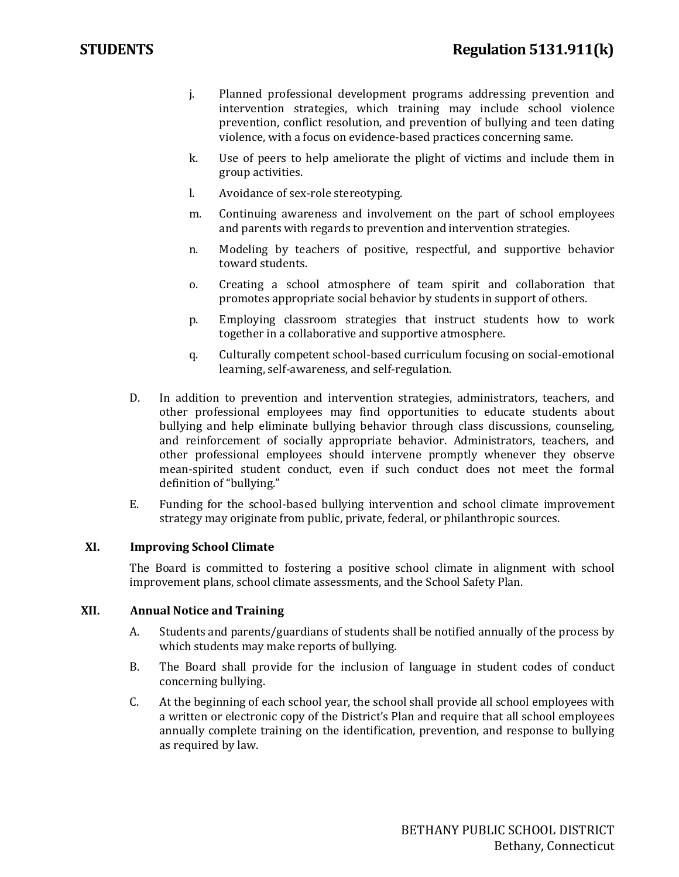- j. Planned professional development programs addressing prevention and intervention strategies, which training may include school violence prevention, conflict resolution, and prevention of bullying and teen dating violence, with a focus on evidence-based practices concerning same.
- k. Use of peers to help ameliorate the plight of victims and include them in group activities.
- l. Avoidance of sex-role stereotyping.
- m. Continuing awareness and involvement on the part of school employees and parents with regards to prevention and intervention strategies.
- n. Modeling by teachers of positive, respectful, and supportive behavior toward students.
- o. Creating a school atmosphere of team spirit and collaboration that promotes appropriate social behavior by students in support of others.
- p. Employing classroom strategies that instruct students how to work together in a collaborative and supportive atmosphere.
- q. Culturally competent school-based curriculum focusing on social-emotional learning, self-awareness, and self-regulation.
- D. In addition to prevention and intervention strategies, administrators, teachers, and other professional employees may find opportunities to educate students about bullying and help eliminate bullying behavior through class discussions, counseling, and reinforcement of socially appropriate behavior. Administrators, teachers, and other professional employees should intervene promptly whenever they observe mean-spirited student conduct, even if such conduct does not meet the formal definition of "bullying."
- E. Funding for the school-based bullying intervention and school climate improvement strategy may originate from public, private, federal, or philanthropic sources.

### **XI. Improving School Climate**

The Board is committed to fostering a positive school climate in alignment with school improvement plans, school climate assessments, and the School Safety Plan.

### **XII. Annual Notice and Training**

- A. Students and parents/guardians of students shall be notified annually of the process by which students may make reports of bullying.
- B. The Board shall provide for the inclusion of language in student codes of conduct concerning bullying.
- C. At the beginning of each school year, the school shall provide all school employees with a written or electronic copy of the District's Plan and require that all school employees annually complete training on the identification, prevention, and response to bullying as required by law.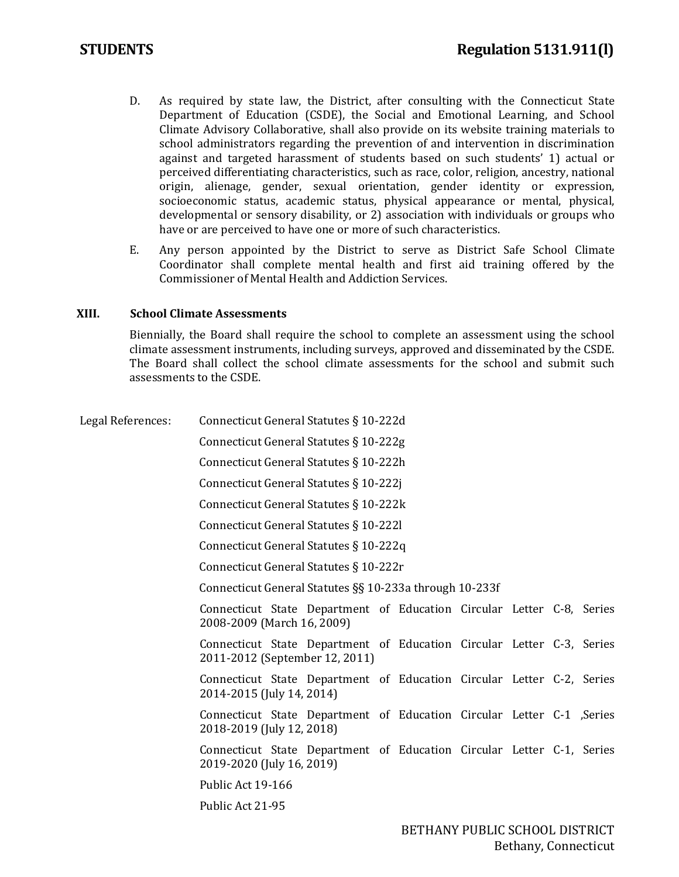- D. As required by state law, the District, after consulting with the Connecticut State Department of Education (CSDE), the Social and Emotional Learning, and School Climate Advisory Collaborative, shall also provide on its website training materials to school administrators regarding the prevention of and intervention in discrimination against and targeted harassment of students based on such students' 1) actual or perceived differentiating characteristics, such as race, color, religion, ancestry, national origin, alienage, gender, sexual orientation, gender identity or expression, socioeconomic status, academic status, physical appearance or mental, physical, developmental or sensory disability, or 2) association with individuals or groups who have or are perceived to have one or more of such characteristics.
- E. Any person appointed by the District to serve as District Safe School Climate Coordinator shall complete mental health and first aid training offered by the Commissioner of Mental Health and Addiction Services.

### **XIII. School Climate Assessments**

Biennially, the Board shall require the school to complete an assessment using the school climate assessment instruments, including surveys, approved and disseminated by the CSDE. The Board shall collect the school climate assessments for the school and submit such assessments to the CSDE.

| Legal References: |                            | Connecticut General Statutes § 10-222d                                                                  |  |  |  |
|-------------------|----------------------------|---------------------------------------------------------------------------------------------------------|--|--|--|
|                   |                            | Connecticut General Statutes § 10-222g                                                                  |  |  |  |
|                   |                            | Connecticut General Statutes § 10-222h                                                                  |  |  |  |
|                   |                            | Connecticut General Statutes § 10-222j                                                                  |  |  |  |
|                   |                            | Connecticut General Statutes § 10-222k                                                                  |  |  |  |
|                   |                            | Connecticut General Statutes § 10-2221                                                                  |  |  |  |
|                   |                            | Connecticut General Statutes § 10-222q                                                                  |  |  |  |
|                   |                            | Connecticut General Statutes § 10-222r                                                                  |  |  |  |
|                   |                            | Connecticut General Statutes §§ 10-233a through 10-233f                                                 |  |  |  |
|                   | 2008-2009 (March 16, 2009) | Connecticut State Department of Education Circular Letter C-8, Series                                   |  |  |  |
|                   |                            | Connecticut State Department of Education Circular Letter C-3, Series<br>2011-2012 (September 12, 2011) |  |  |  |
|                   | 2014-2015 (July 14, 2014)  | Connecticut State Department of Education Circular Letter C-2, Series                                   |  |  |  |
|                   | 2018-2019 (July 12, 2018)  | Connecticut State Department of Education Circular Letter C-1 , Series                                  |  |  |  |
|                   | 2019-2020 (July 16, 2019)  | Connecticut State Department of Education Circular Letter C-1, Series                                   |  |  |  |
|                   | Public Act 19-166          |                                                                                                         |  |  |  |
|                   | Public Act 21-95           |                                                                                                         |  |  |  |
|                   |                            |                                                                                                         |  |  |  |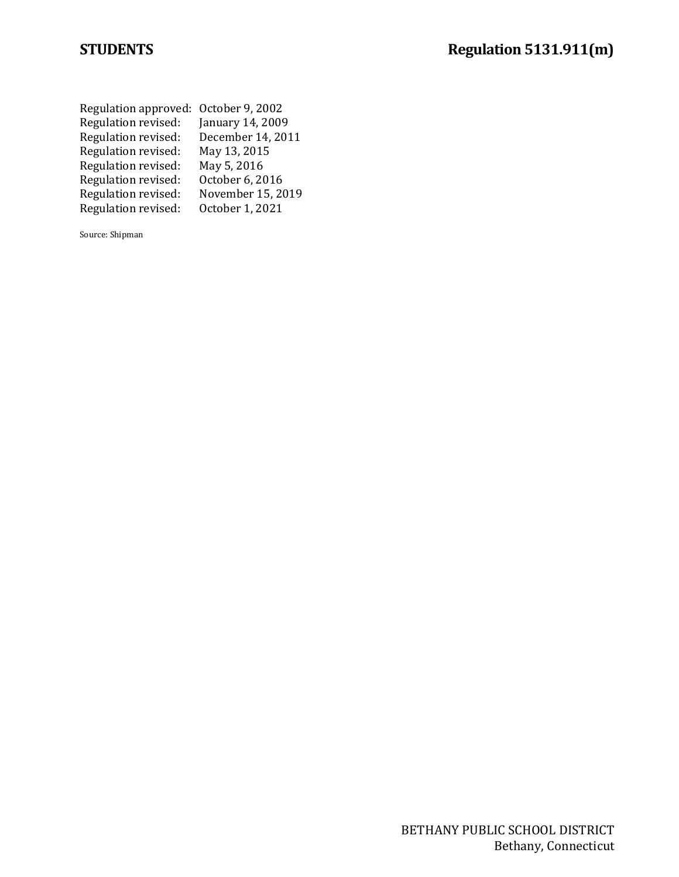| Regulation approved: October 9, 2002 |                   |
|--------------------------------------|-------------------|
| Regulation revised:                  | January 14, 2009  |
| Regulation revised:                  | December 14, 2011 |
| Regulation revised:                  | May 13, 2015      |
| Regulation revised:                  | May 5, 2016       |
| Regulation revised:                  | October 6, 2016   |
| Regulation revised:                  | November 15, 2019 |
| Regulation revised:                  | October 1, 2021   |
|                                      |                   |

Source: Shipman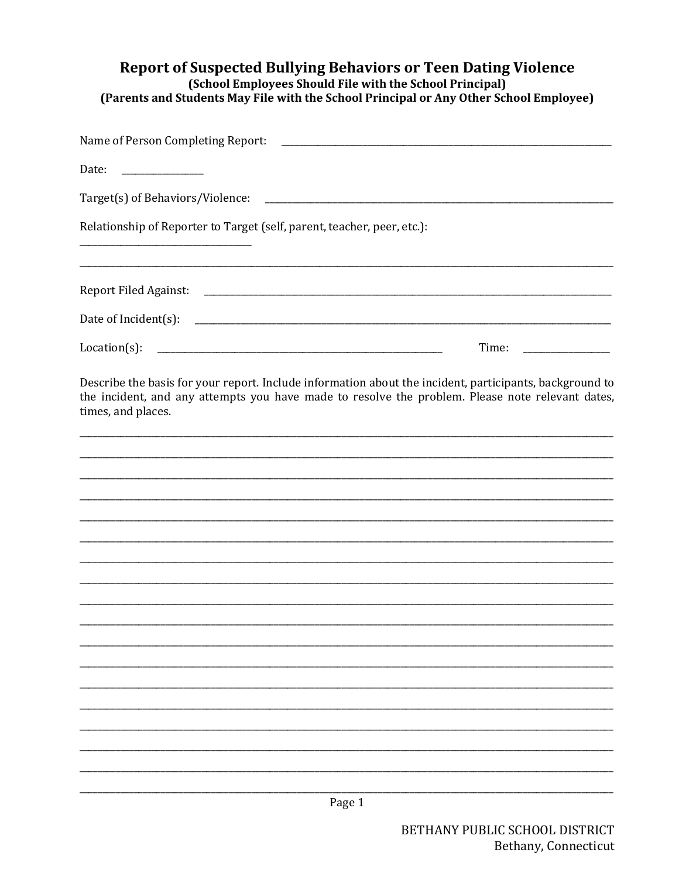# Report of Suspected Bullying Behaviors or Teen Dating Violence<br>(School Employees Should File with the School Principal) (Parents and Students May File with the School Principal or Any Other School Employee)

| Name of Person Completing Report:                                       | <u> 1989 - Johann John Stein, market fan it ferstjer fan it ferstjer fan it ferstjer fan it ferstjer fan it fers</u>                                                                                        |
|-------------------------------------------------------------------------|-------------------------------------------------------------------------------------------------------------------------------------------------------------------------------------------------------------|
| Date:                                                                   |                                                                                                                                                                                                             |
| Target(s) of Behaviors/Violence:                                        | the control of the control of the control of the control of the control of                                                                                                                                  |
| Relationship of Reporter to Target (self, parent, teacher, peer, etc.): |                                                                                                                                                                                                             |
|                                                                         |                                                                                                                                                                                                             |
|                                                                         |                                                                                                                                                                                                             |
| $Location(s)$ :                                                         | Time:                                                                                                                                                                                                       |
| times, and places.                                                      | Describe the basis for your report. Include information about the incident, participants, background to<br>the incident, and any attempts you have made to resolve the problem. Please note relevant dates, |
|                                                                         |                                                                                                                                                                                                             |
|                                                                         |                                                                                                                                                                                                             |
|                                                                         |                                                                                                                                                                                                             |
|                                                                         |                                                                                                                                                                                                             |
|                                                                         |                                                                                                                                                                                                             |
|                                                                         |                                                                                                                                                                                                             |
|                                                                         |                                                                                                                                                                                                             |
|                                                                         |                                                                                                                                                                                                             |
|                                                                         |                                                                                                                                                                                                             |
|                                                                         |                                                                                                                                                                                                             |
|                                                                         |                                                                                                                                                                                                             |
|                                                                         |                                                                                                                                                                                                             |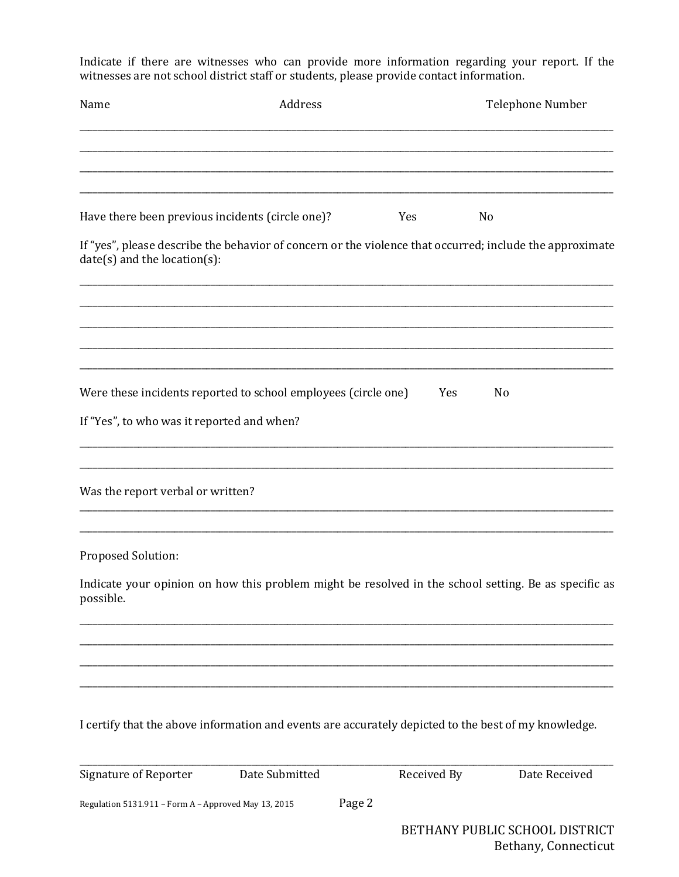Indicate if there are witnesses who can provide more information regarding your report. If the witnesses are not school district staff or students, please provide contact information.

| Name                                                 | Address                                                                                                  |             | Telephone Number               |
|------------------------------------------------------|----------------------------------------------------------------------------------------------------------|-------------|--------------------------------|
|                                                      |                                                                                                          |             |                                |
| Have there been previous incidents (circle one)?     |                                                                                                          | Yes         | No                             |
| $date(s)$ and the location(s):                       | If "yes", please describe the behavior of concern or the violence that occurred; include the approximate |             |                                |
|                                                      |                                                                                                          |             |                                |
|                                                      | Were these incidents reported to school employees (circle one)                                           | Yes         | N <sub>0</sub>                 |
| If "Yes", to who was it reported and when?           |                                                                                                          |             |                                |
| Was the report verbal or written?                    |                                                                                                          |             |                                |
| Proposed Solution:                                   |                                                                                                          |             |                                |
| possible.                                            | Indicate your opinion on how this problem might be resolved in the school setting. Be as specific as     |             |                                |
|                                                      |                                                                                                          |             |                                |
|                                                      | I certify that the above information and events are accurately depicted to the best of my knowledge.     |             |                                |
| <b>Signature of Reporter</b>                         | Date Submitted                                                                                           | Received By | Date Received                  |
| Regulation 5131.911 - Form A - Approved May 13, 2015 | Page 2                                                                                                   |             |                                |
|                                                      |                                                                                                          |             | BETHANY PUBLIC SCHOOL DISTRICT |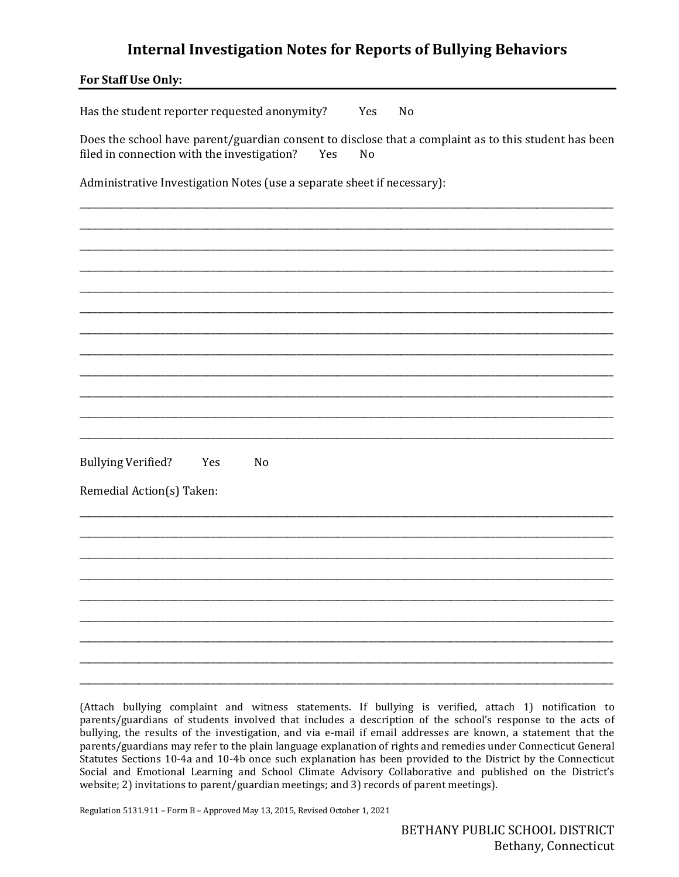## **Internal Investigation Notes for Reports of Bullying Behaviors**

| For Staff Use Only:                                                                                                                                               |
|-------------------------------------------------------------------------------------------------------------------------------------------------------------------|
| Has the student reporter requested anonymity?<br>Yes<br>No                                                                                                        |
| Does the school have parent/guardian consent to disclose that a complaint as to this student has been<br>filed in connection with the investigation?<br>Yes<br>No |
| Administrative Investigation Notes (use a separate sheet if necessary):                                                                                           |
|                                                                                                                                                                   |
|                                                                                                                                                                   |
|                                                                                                                                                                   |
|                                                                                                                                                                   |
|                                                                                                                                                                   |
|                                                                                                                                                                   |
| <b>Bullying Verified?</b><br>Yes<br>N <sub>o</sub>                                                                                                                |
| Remedial Action(s) Taken:                                                                                                                                         |
|                                                                                                                                                                   |
|                                                                                                                                                                   |
|                                                                                                                                                                   |
|                                                                                                                                                                   |
|                                                                                                                                                                   |

(Attach bullying complaint and witness statements. If bullying is verified, attach 1) notification to parents/guardians of students involved that includes a description of the school's response to the acts of bullying, the results of the investigation, and via e-mail if email addresses are known, a statement that the parents/guardians may refer to the plain language explanation of rights and remedies under Connecticut General Statutes Sections 10-4a and 10-4b once such explanation has been provided to the District by the Connecticut Social and Emotional Learning and School Climate Advisory Collaborative and published on the District's website; 2) invitations to parent/guardian meetings; and 3) records of parent meetings).

Regulation 5131.911 - Form B - Approved May 13, 2015, Revised October 1, 2021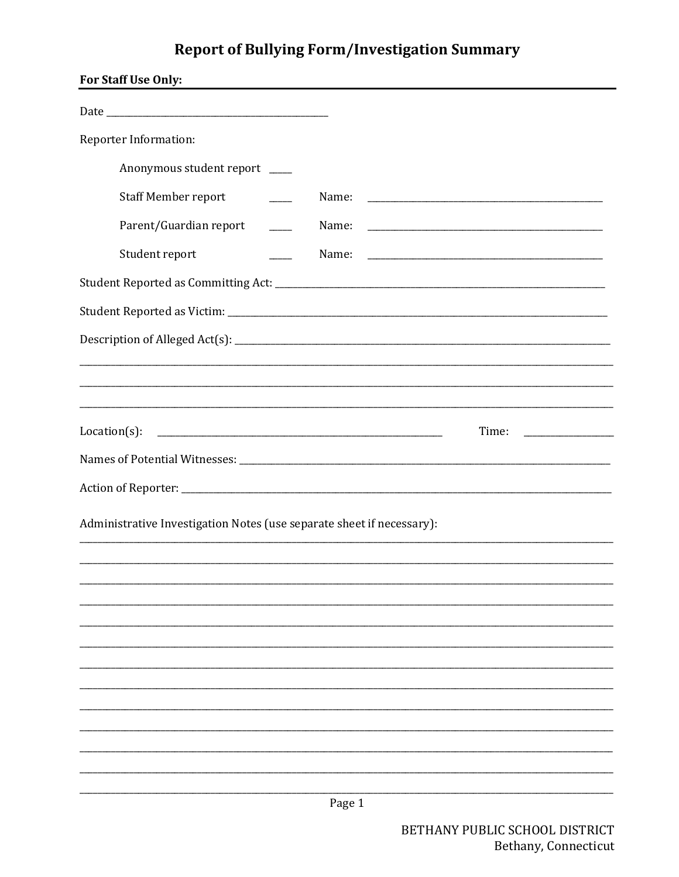# **Report of Bullying Form/Investigation Summary**

| For Staff Use Only:                                                   |
|-----------------------------------------------------------------------|
|                                                                       |
| Reporter Information:                                                 |
| Anonymous student report ___                                          |
| <b>Staff Member report</b>                                            |
| Parent/Guardian report                                                |
| Student report                                                        |
|                                                                       |
|                                                                       |
|                                                                       |
|                                                                       |
|                                                                       |
| $Location(s)$ :<br>Time:                                              |
|                                                                       |
|                                                                       |
| Administrative Investigation Notes (use separate sheet if necessary): |
|                                                                       |
|                                                                       |
|                                                                       |
|                                                                       |
|                                                                       |
|                                                                       |
|                                                                       |
|                                                                       |
|                                                                       |
| Page 1                                                                |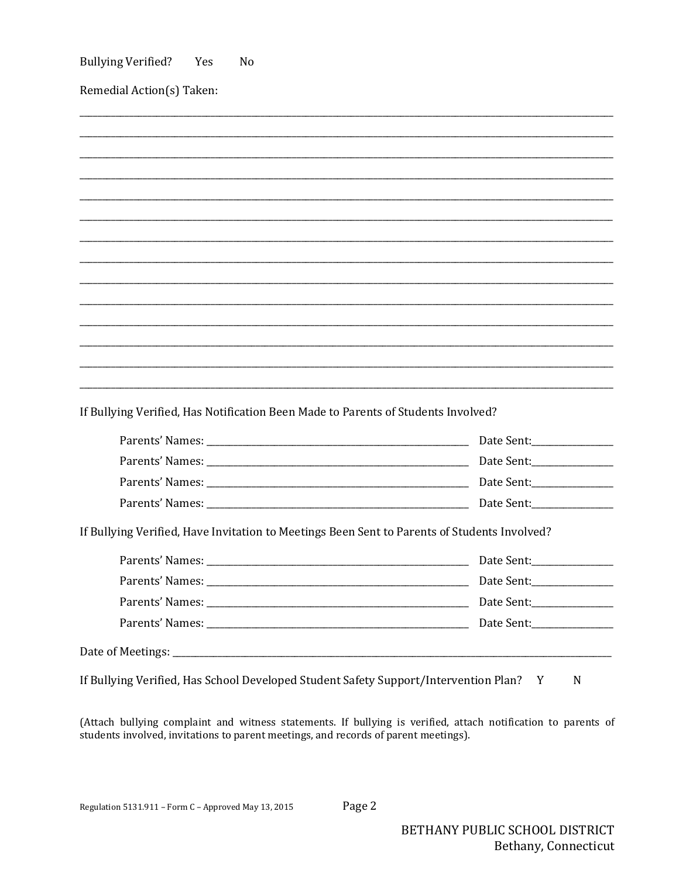| Remedial Action(s) Taken:                                                                                                                                                         |            |
|-----------------------------------------------------------------------------------------------------------------------------------------------------------------------------------|------------|
|                                                                                                                                                                                   |            |
|                                                                                                                                                                                   |            |
|                                                                                                                                                                                   |            |
|                                                                                                                                                                                   |            |
|                                                                                                                                                                                   |            |
|                                                                                                                                                                                   |            |
|                                                                                                                                                                                   |            |
|                                                                                                                                                                                   |            |
|                                                                                                                                                                                   |            |
|                                                                                                                                                                                   |            |
|                                                                                                                                                                                   |            |
|                                                                                                                                                                                   |            |
|                                                                                                                                                                                   |            |
|                                                                                                                                                                                   |            |
|                                                                                                                                                                                   |            |
|                                                                                                                                                                                   |            |
|                                                                                                                                                                                   |            |
|                                                                                                                                                                                   |            |
|                                                                                                                                                                                   |            |
|                                                                                                                                                                                   | Date Sent: |
|                                                                                                                                                                                   |            |
|                                                                                                                                                                                   |            |
|                                                                                                                                                                                   |            |
|                                                                                                                                                                                   |            |
| If Bullying Verified, Has Notification Been Made to Parents of Students Involved?<br>If Bullying Verified, Have Invitation to Meetings Been Sent to Parents of Students Involved? |            |

(Attach bullying complaint and witness statements. If bullying is verified, attach notification to parents of students involved, invitations to parent meetings, and records of parent meetings).

Page 2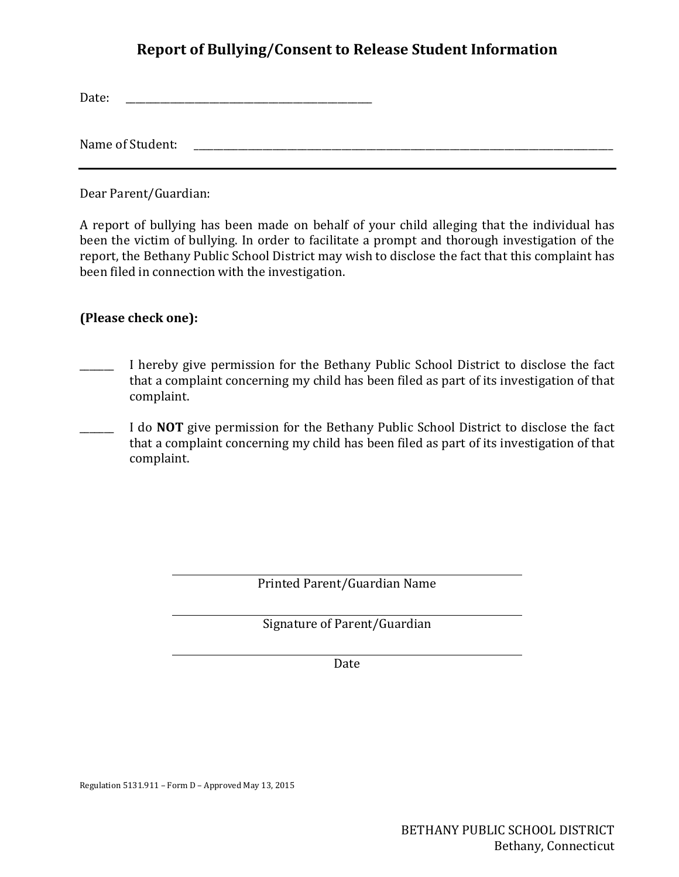## **Report of Bullying/Consent to Release Student Information**

Date: \_\_\_\_\_\_\_\_\_\_\_\_\_\_\_\_\_\_\_\_\_\_\_\_\_\_\_\_\_\_\_\_\_\_\_\_\_\_\_\_\_\_\_\_\_\_\_\_\_\_

Name of Student: \_\_\_\_\_\_\_\_\_\_\_\_\_\_\_\_\_\_\_\_\_\_\_\_\_\_\_\_\_\_\_\_\_\_\_\_\_\_\_\_\_\_\_\_\_\_\_\_\_\_\_\_\_\_\_\_\_\_\_\_\_\_\_\_\_\_\_\_\_\_\_\_\_\_\_\_\_\_\_\_\_\_\_\_\_

Dear Parent/Guardian:

A report of bullying has been made on behalf of your child alleging that the individual has been the victim of bullying. In order to facilitate a prompt and thorough investigation of the report, the Bethany Public School District may wish to disclose the fact that this complaint has been filed in connection with the investigation.

### **(Please check one):**

- \_\_\_\_\_\_\_ I hereby give permission for the Bethany Public School District to disclose the fact that a complaint concerning my child has been filed as part of its investigation of that complaint.
- I do **NOT** give permission for the Bethany Public School District to disclose the fact that a complaint concerning my child has been filed as part of its investigation of that complaint.

Printed Parent/Guardian Name

Signature of Parent/Guardian

Date

Regulation 5131.911 – Form D – Approved May 13, 2015